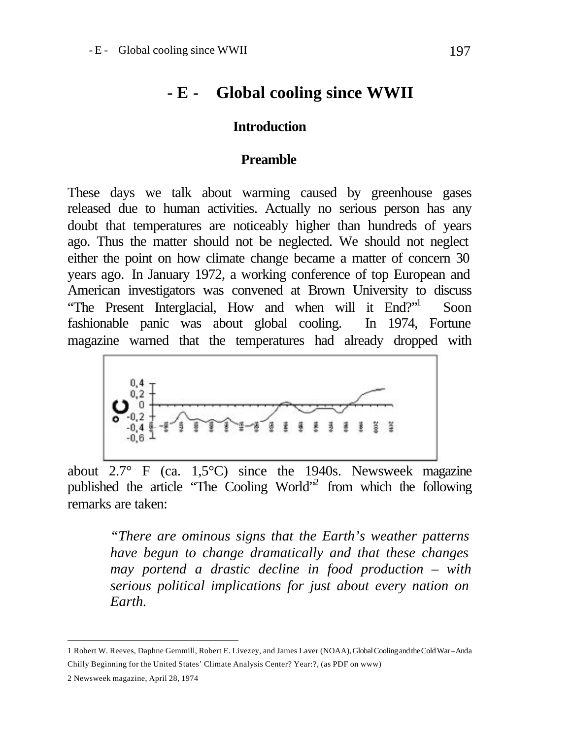# **- E - Global cooling since WWII**

### **Introduction**

#### **Preamble**

These days we talk about warming caused by greenhouse gases released due to human activities. Actually no serious person has any doubt that temperatures are noticeably higher than hundreds of years ago. Thus the matter should not be neglected. We should not neglect either the point on how climate change became a matter of concern 30 years ago. In January 1972, a working conference of top European and American investigators was convened at Brown University to discuss "The Present Interglacial, How and when will it End?" Soon fashionable panic was about global cooling. In 1974, Fortune magazine warned that the temperatures had already dropped with



about 2.7° F (ca. 1,5°C) since the 1940s. Newsweek magazine published the article "The Cooling World"<sup>2</sup> from which the following remarks are taken:

> *"There are ominous signs that the Earth's weather patterns have begun to change dramatically and that these changes may portend a drastic decline in food production – with serious political implications for just about every nation on Earth.*

l

<sup>1</sup> Robert W. Reeves, Daphne Gemmill, Robert E. Livezey, and James Laver (NOAA), Global Cooling and the Cold War – And a Chilly Beginning for the United States' Climate Analysis Center? Year:?, (as PDF on www)

<sup>2</sup> Newsweek magazine, April 28, 1974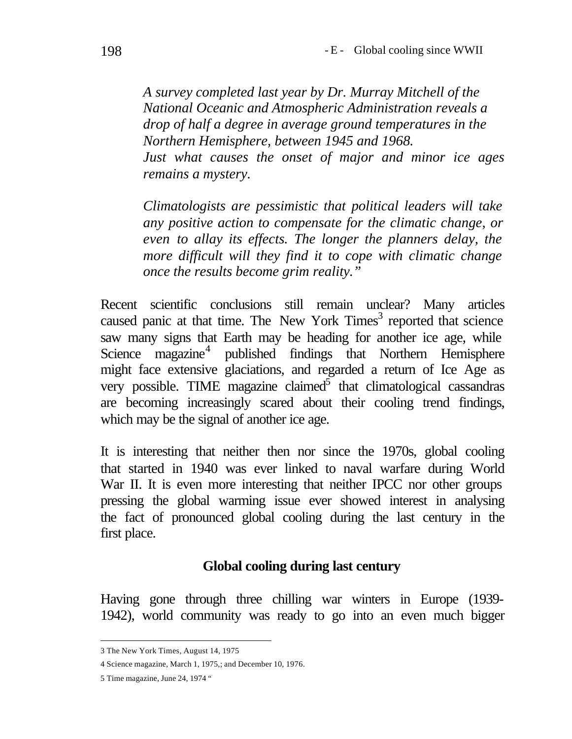*A survey completed last year by Dr. Murray Mitchell of the National Oceanic and Atmospheric Administration reveals a drop of half a degree in average ground temperatures in the Northern Hemisphere, between 1945 and 1968. Just what causes the onset of major and minor ice ages remains a mystery.* 

*Climatologists are pessimistic that political leaders will take any positive action to compensate for the climatic change, or even to allay its effects. The longer the planners delay, the more difficult will they find it to cope with climatic change once the results become grim reality."*

Recent scientific conclusions still remain unclear? Many articles caused panic at that time. The New York  $Times<sup>3</sup>$  reported that science saw many signs that Earth may be heading for another ice age, while Science magazine<sup>4</sup> published findings that Northern Hemisphere might face extensive glaciations, and regarded a return of Ice Age as very possible. TIME magazine claimed $\overline{5}$  that climatological cassandras are becoming increasingly scared about their cooling trend findings, which may be the signal of another ice age.

It is interesting that neither then nor since the 1970s, global cooling that started in 1940 was ever linked to naval warfare during World War II. It is even more interesting that neither IPCC nor other groups pressing the global warming issue ever showed interest in analysing the fact of pronounced global cooling during the last century in the first place.

### **Global cooling during last century**

Having gone through three chilling war winters in Europe (1939- 1942), world community was ready to go into an even much bigger

l 3 The New York Times, August 14, 1975

<sup>4</sup> Science magazine, March 1, 1975,; and December 10, 1976.

<sup>5</sup> Time magazine, June 24, 1974 "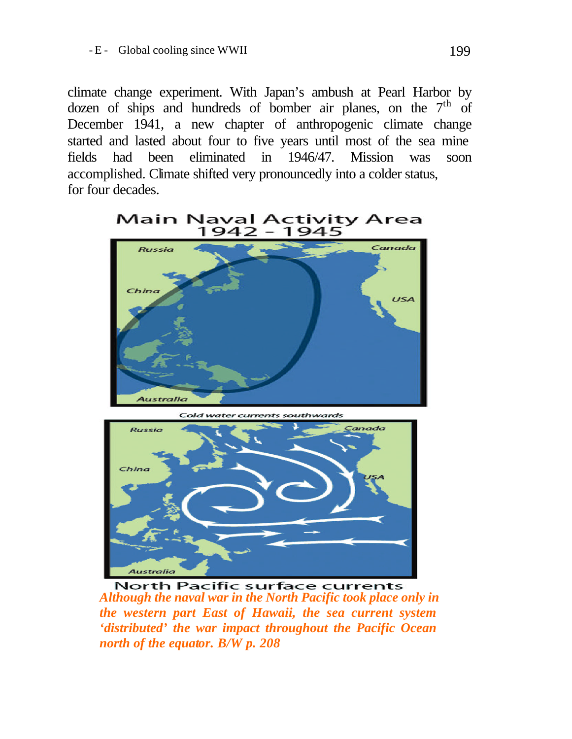climate change experiment. With Japan's ambush at Pearl Harbor by dozen of ships and hundreds of bomber air planes, on the  $7<sup>th</sup>$  of December 1941, a new chapter of anthropogenic climate change started and lasted about four to five years until most of the sea mine fields had been eliminated in 1946/47. Mission was soon accomplished. Climate shifted very pronouncedly into a colder status, for four decades.





*Although the naval war in the North Pacific took place only in the western part East of Hawaii, the sea current system 'distributed' the war impact throughout the Pacific Ocean north of the equator. B/W p. 208*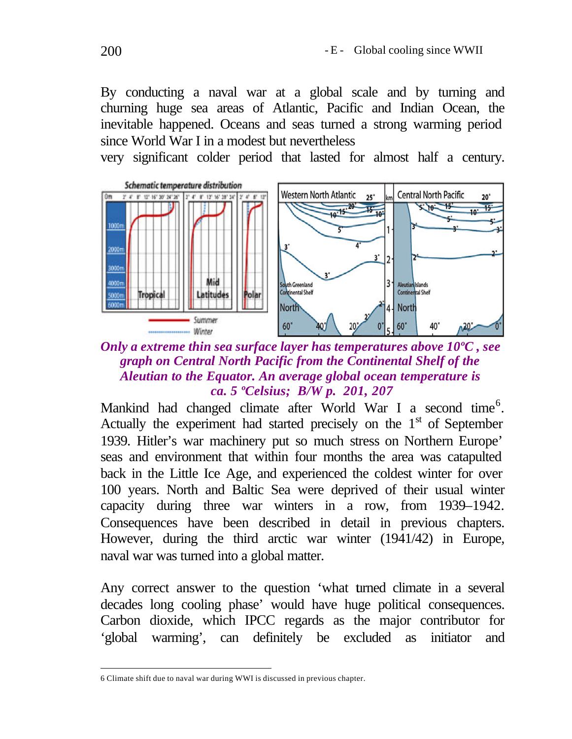By conducting a naval war at a global scale and by turning and churning huge sea areas of Atlantic, Pacific and Indian Ocean, the inevitable happened. Oceans and seas turned a strong warming period since World War I in a modest but nevertheless

very significant colder period that lasted for almost half a century.



# *Only a extreme thin sea surface layer has temperatures above 10ºC , see graph on Central North Pacific from the Continental Shelf of the Aleutian to the Equator. An average global ocean temperature is ca. 5 ºCelsius; B/W p. 201, 207*

Mankind had changed climate after World War I a second time<sup>6</sup>. Actually the experiment had started precisely on the  $1<sup>st</sup>$  of September 1939. Hitler's war machinery put so much stress on Northern Europe' seas and environment that within four months the area was catapulted back in the Little Ice Age, and experienced the coldest winter for over 100 years. North and Baltic Sea were deprived of their usual winter capacity during three war winters in a row, from 1939–1942. Consequences have been described in detail in previous chapters. However, during the third arctic war winter (1941/42) in Europe, naval war was turned into a global matter.

Any correct answer to the question 'what turned climate in a several decades long cooling phase' would have huge political consequences. Carbon dioxide, which IPCC regards as the major contributor for 'global warming', can definitely be excluded as initiator and

l 6 Climate shift due to naval war during WWI is discussed in previous chapter.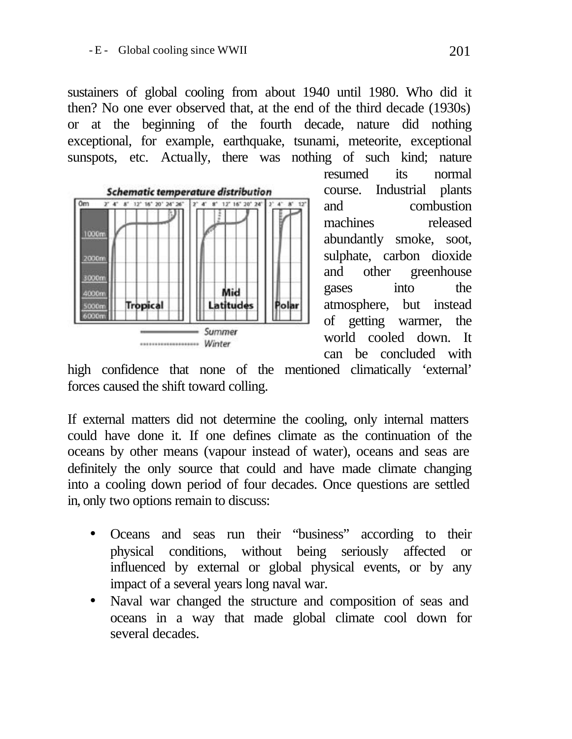sustainers of global cooling from about 1940 until 1980. Who did it then? No one ever observed that, at the end of the third decade (1930s) or at the beginning of the fourth decade, nature did nothing exceptional, for example, earthquake, tsunami, meteorite, exceptional sunspots, etc. Actually, there was nothing of such kind; nature



resumed its normal course. Industrial plants and combustion machines released abundantly smoke, soot, sulphate, carbon dioxide and other greenhouse gases into the atmosphere, but instead of getting warmer, the world cooled down. It can be concluded with

high confidence that none of the mentioned climatically 'external' forces caused the shift toward colling.

If external matters did not determine the cooling, only internal matters could have done it. If one defines climate as the continuation of the oceans by other means (vapour instead of water), oceans and seas are definitely the only source that could and have made climate changing into a cooling down period of four decades. Once questions are settled in, only two options remain to discuss:

- Oceans and seas run their "business" according to their physical conditions, without being seriously affected or influenced by external or global physical events, or by any impact of a several years long naval war.
- Naval war changed the structure and composition of seas and oceans in a way that made global climate cool down for several decades.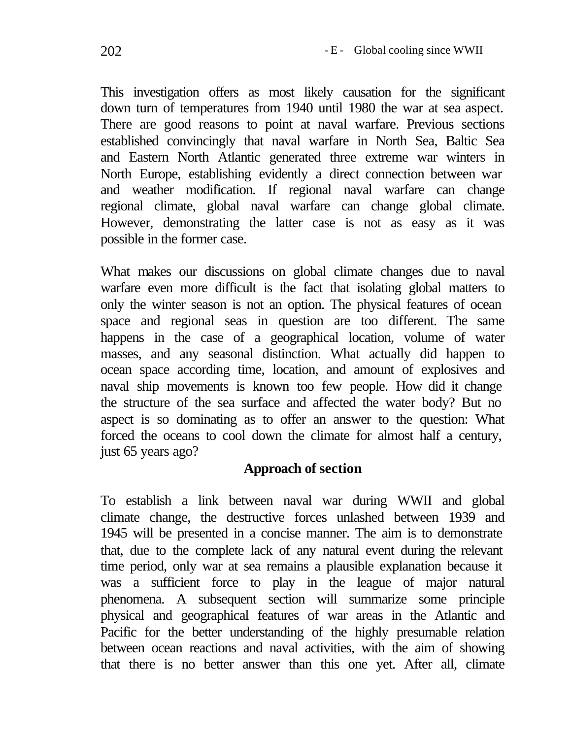This investigation offers as most likely causation for the significant down turn of temperatures from 1940 until 1980 the war at sea aspect. There are good reasons to point at naval warfare. Previous sections established convincingly that naval warfare in North Sea, Baltic Sea and Eastern North Atlantic generated three extreme war winters in North Europe, establishing evidently a direct connection between war and weather modification. If regional naval warfare can change regional climate, global naval warfare can change global climate. However, demonstrating the latter case is not as easy as it was possible in the former case.

What makes our discussions on global climate changes due to naval warfare even more difficult is the fact that isolating global matters to only the winter season is not an option. The physical features of ocean space and regional seas in question are too different. The same happens in the case of a geographical location, volume of water masses, and any seasonal distinction. What actually did happen to ocean space according time, location, and amount of explosives and naval ship movements is known too few people. How did it change the structure of the sea surface and affected the water body? But no aspect is so dominating as to offer an answer to the question: What forced the oceans to cool down the climate for almost half a century, just 65 years ago?

# **Approach of section**

To establish a link between naval war during WWII and global climate change, the destructive forces unlashed between 1939 and 1945 will be presented in a concise manner. The aim is to demonstrate that, due to the complete lack of any natural event during the relevant time period, only war at sea remains a plausible explanation because it was a sufficient force to play in the league of major natural phenomena. A subsequent section will summarize some principle physical and geographical features of war areas in the Atlantic and Pacific for the better understanding of the highly presumable relation between ocean reactions and naval activities, with the aim of showing that there is no better answer than this one yet. After all, climate